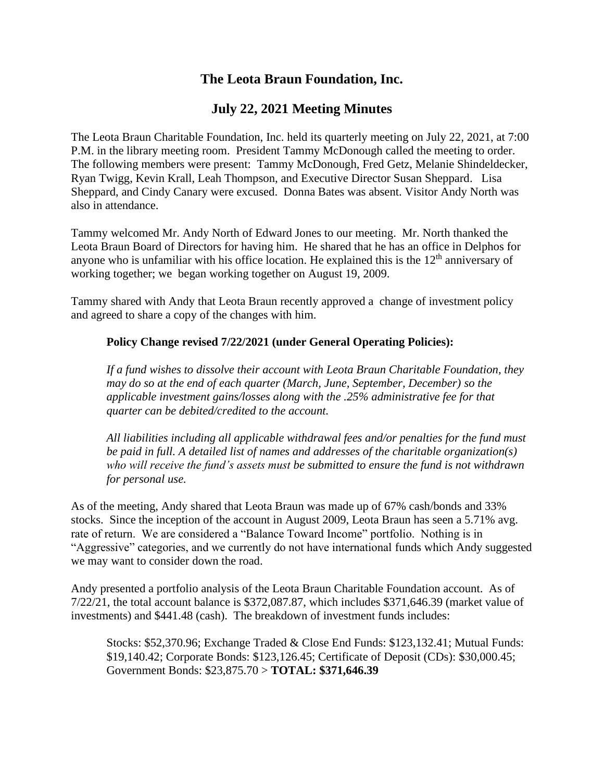# **The Leota Braun Foundation, Inc.**

## **July 22, 2021 Meeting Minutes**

The Leota Braun Charitable Foundation, Inc. held its quarterly meeting on July 22, 2021, at 7:00 P.M. in the library meeting room. President Tammy McDonough called the meeting to order. The following members were present: Tammy McDonough, Fred Getz, Melanie Shindeldecker, Ryan Twigg, Kevin Krall, Leah Thompson, and Executive Director Susan Sheppard. Lisa Sheppard, and Cindy Canary were excused. Donna Bates was absent. Visitor Andy North was also in attendance.

Tammy welcomed Mr. Andy North of Edward Jones to our meeting. Mr. North thanked the Leota Braun Board of Directors for having him. He shared that he has an office in Delphos for anyone who is unfamiliar with his office location. He explained this is the  $12<sup>th</sup>$  anniversary of working together; we began working together on August 19, 2009.

Tammy shared with Andy that Leota Braun recently approved a change of investment policy and agreed to share a copy of the changes with him.

## **Policy Change revised 7/22/2021 (under General Operating Policies):**

*If a fund wishes to dissolve their account with Leota Braun Charitable Foundation, they may do so at the end of each quarter (March, June, September, December) so the applicable investment gains/losses along with the .25% administrative fee for that quarter can be debited/credited to the account.*

*All liabilities including all applicable withdrawal fees and/or penalties for the fund must be paid in full. A detailed list of names and addresses of the charitable organization(s) who will receive the fund's assets must be submitted to ensure the fund is not withdrawn for personal use.*

As of the meeting, Andy shared that Leota Braun was made up of 67% cash/bonds and 33% stocks. Since the inception of the account in August 2009, Leota Braun has seen a 5.71% avg. rate of return. We are considered a "Balance Toward Income" portfolio. Nothing is in "Aggressive" categories, and we currently do not have international funds which Andy suggested we may want to consider down the road.

Andy presented a portfolio analysis of the Leota Braun Charitable Foundation account. As of 7/22/21, the total account balance is \$372,087.87, which includes \$371,646.39 (market value of investments) and \$441.48 (cash). The breakdown of investment funds includes:

Stocks: \$52,370.96; Exchange Traded & Close End Funds: \$123,132.41; Mutual Funds: \$19,140.42; Corporate Bonds: \$123,126.45; Certificate of Deposit (CDs): \$30,000.45; Government Bonds: \$23,875.70 > **TOTAL: \$371,646.39**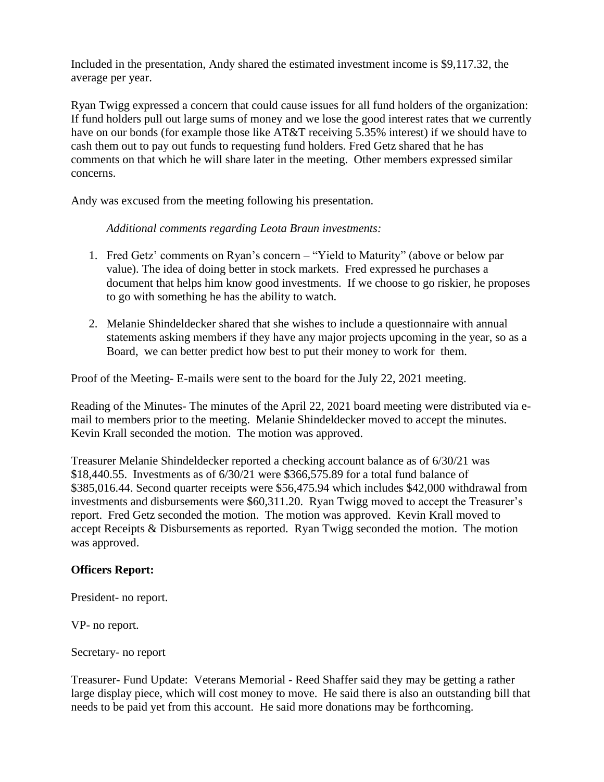Included in the presentation, Andy shared the estimated investment income is \$9,117.32, the average per year.

Ryan Twigg expressed a concern that could cause issues for all fund holders of the organization: If fund holders pull out large sums of money and we lose the good interest rates that we currently have on our bonds (for example those like AT&T receiving 5.35% interest) if we should have to cash them out to pay out funds to requesting fund holders. Fred Getz shared that he has comments on that which he will share later in the meeting. Other members expressed similar concerns.

Andy was excused from the meeting following his presentation.

*Additional comments regarding Leota Braun investments:*

- 1. Fred Getz' comments on Ryan's concern "Yield to Maturity" (above or below par value). The idea of doing better in stock markets. Fred expressed he purchases a document that helps him know good investments. If we choose to go riskier, he proposes to go with something he has the ability to watch.
- 2. Melanie Shindeldecker shared that she wishes to include a questionnaire with annual statements asking members if they have any major projects upcoming in the year, so as a Board, we can better predict how best to put their money to work for them.

Proof of the Meeting- E-mails were sent to the board for the July 22, 2021 meeting.

Reading of the Minutes- The minutes of the April 22, 2021 board meeting were distributed via email to members prior to the meeting. Melanie Shindeldecker moved to accept the minutes. Kevin Krall seconded the motion. The motion was approved.

Treasurer Melanie Shindeldecker reported a checking account balance as of 6/30/21 was \$18,440.55. Investments as of 6/30/21 were \$366,575.89 for a total fund balance of \$385,016.44. Second quarter receipts were \$56,475.94 which includes \$42,000 withdrawal from investments and disbursements were \$60,311.20. Ryan Twigg moved to accept the Treasurer's report. Fred Getz seconded the motion. The motion was approved. Kevin Krall moved to accept Receipts & Disbursements as reported. Ryan Twigg seconded the motion. The motion was approved.

## **Officers Report:**

President- no report.

VP- no report.

Secretary- no report

Treasurer- Fund Update: Veterans Memorial - Reed Shaffer said they may be getting a rather large display piece, which will cost money to move. He said there is also an outstanding bill that needs to be paid yet from this account. He said more donations may be forthcoming.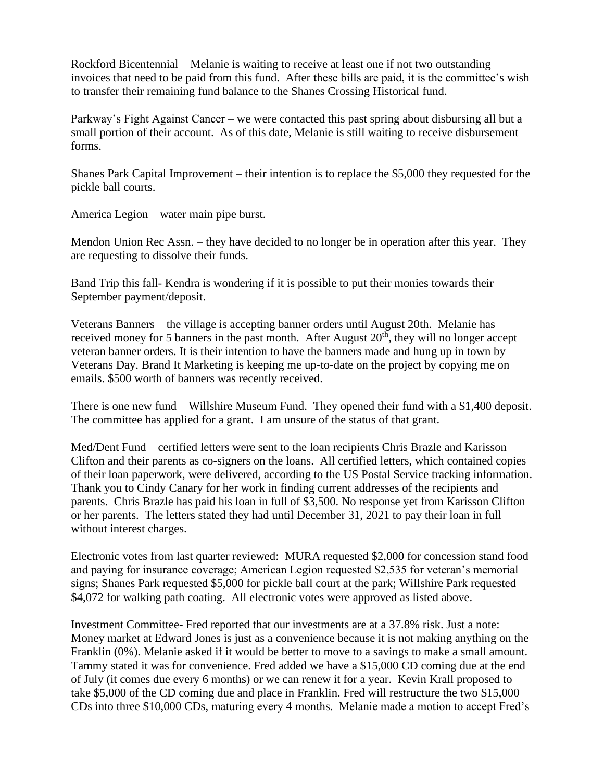Rockford Bicentennial – Melanie is waiting to receive at least one if not two outstanding invoices that need to be paid from this fund. After these bills are paid, it is the committee's wish to transfer their remaining fund balance to the Shanes Crossing Historical fund.

Parkway's Fight Against Cancer – we were contacted this past spring about disbursing all but a small portion of their account. As of this date, Melanie is still waiting to receive disbursement forms.

Shanes Park Capital Improvement – their intention is to replace the \$5,000 they requested for the pickle ball courts.

America Legion – water main pipe burst.

Mendon Union Rec Assn. – they have decided to no longer be in operation after this year. They are requesting to dissolve their funds.

Band Trip this fall- Kendra is wondering if it is possible to put their monies towards their September payment/deposit.

Veterans Banners – the village is accepting banner orders until August 20th. Melanie has received money for 5 banners in the past month. After August  $20<sup>th</sup>$ , they will no longer accept veteran banner orders. It is their intention to have the banners made and hung up in town by Veterans Day. Brand It Marketing is keeping me up-to-date on the project by copying me on emails. \$500 worth of banners was recently received.

There is one new fund – Willshire Museum Fund. They opened their fund with a \$1,400 deposit. The committee has applied for a grant. I am unsure of the status of that grant.

Med/Dent Fund – certified letters were sent to the loan recipients Chris Brazle and Karisson Clifton and their parents as co-signers on the loans. All certified letters, which contained copies of their loan paperwork, were delivered, according to the US Postal Service tracking information. Thank you to Cindy Canary for her work in finding current addresses of the recipients and parents. Chris Brazle has paid his loan in full of \$3,500. No response yet from Karisson Clifton or her parents. The letters stated they had until December 31, 2021 to pay their loan in full without interest charges.

Electronic votes from last quarter reviewed: MURA requested \$2,000 for concession stand food and paying for insurance coverage; American Legion requested \$2,535 for veteran's memorial signs; Shanes Park requested \$5,000 for pickle ball court at the park; Willshire Park requested \$4,072 for walking path coating. All electronic votes were approved as listed above.

Investment Committee- Fred reported that our investments are at a 37.8% risk. Just a note: Money market at Edward Jones is just as a convenience because it is not making anything on the Franklin (0%). Melanie asked if it would be better to move to a savings to make a small amount. Tammy stated it was for convenience. Fred added we have a \$15,000 CD coming due at the end of July (it comes due every 6 months) or we can renew it for a year. Kevin Krall proposed to take \$5,000 of the CD coming due and place in Franklin. Fred will restructure the two \$15,000 CDs into three \$10,000 CDs, maturing every 4 months. Melanie made a motion to accept Fred's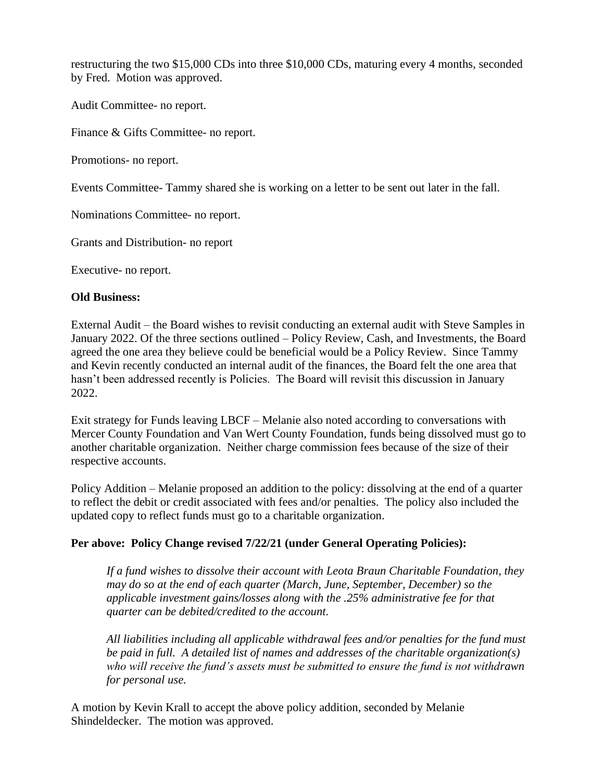restructuring the two \$15,000 CDs into three \$10,000 CDs, maturing every 4 months, seconded by Fred. Motion was approved.

Audit Committee- no report.

Finance & Gifts Committee- no report.

Promotions- no report.

Events Committee- Tammy shared she is working on a letter to be sent out later in the fall.

Nominations Committee- no report.

Grants and Distribution- no report

Executive- no report.

### **Old Business:**

External Audit – the Board wishes to revisit conducting an external audit with Steve Samples in January 2022. Of the three sections outlined – Policy Review, Cash, and Investments, the Board agreed the one area they believe could be beneficial would be a Policy Review. Since Tammy and Kevin recently conducted an internal audit of the finances, the Board felt the one area that hasn't been addressed recently is Policies. The Board will revisit this discussion in January 2022.

Exit strategy for Funds leaving LBCF – Melanie also noted according to conversations with Mercer County Foundation and Van Wert County Foundation, funds being dissolved must go to another charitable organization. Neither charge commission fees because of the size of their respective accounts.

Policy Addition – Melanie proposed an addition to the policy: dissolving at the end of a quarter to reflect the debit or credit associated with fees and/or penalties. The policy also included the updated copy to reflect funds must go to a charitable organization.

### **Per above: Policy Change revised 7/22/21 (under General Operating Policies):**

*If a fund wishes to dissolve their account with Leota Braun Charitable Foundation, they may do so at the end of each quarter (March, June, September, December) so the applicable investment gains/losses along with the .25% administrative fee for that quarter can be debited/credited to the account.*

*All liabilities including all applicable withdrawal fees and/or penalties for the fund must be paid in full. A detailed list of names and addresses of the charitable organization(s) who will receive the fund's assets must be submitted to ensure the fund is not withdrawn for personal use.*

A motion by Kevin Krall to accept the above policy addition, seconded by Melanie Shindeldecker. The motion was approved.